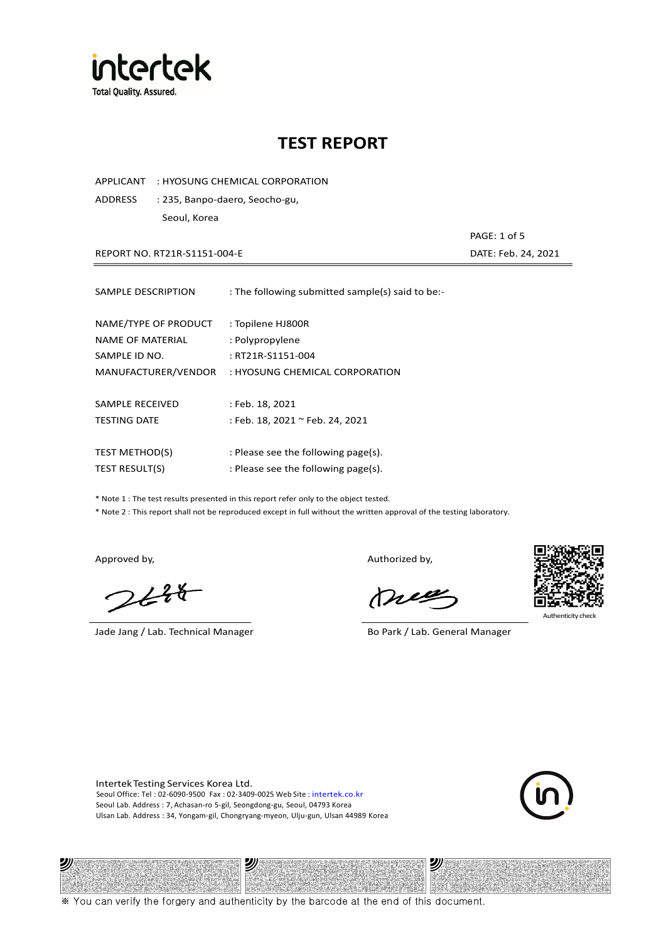

APPLICANT : HYOSUNG CHEMICAL CORPORATION

ADDRESS : 235, Banpo-daero, Seocho-gu, Seoul, Korea

REPORT NO. RT21R-S1151-004-E DATE: Feb. 24, 2021

| SAMPLE DESCRIPTION    | : The following submitted sample(s) said to be:- |
|-----------------------|--------------------------------------------------|
| NAME/TYPE OF PRODUCT  | : Topilene HJ800R                                |
| NAME OF MATERIAL      | : Polypropylene                                  |
| SAMPLE ID NO.         | : RT21R-S1151-004                                |
| MANUFACTURER/VENDOR   | : HYOSUNG CHEMICAL CORPORATION                   |
| SAMPLE RECEIVED       | : Feb. 18, 2021                                  |
| <b>TESTING DATE</b>   | : Feb. 18, 2021 ~ Feb. 24, 2021                  |
| <b>TEST METHOD(S)</b> | : Please see the following page(s).              |
| <b>TEST RESULT(S)</b> | : Please see the following page(s).              |

\* Note 1 : The test results presented in this report refer only to the object tested.

\* Note 2 : This report shall not be reproduced except in full without the written approval of the testing laboratory.

ツル

 $248$ 

Jade Jang / Lab. Technical Manager Bo Park / Lab. General Manager

Approved by, Authorized by, Authorized by,

meg



PAGE: 1 of 5

沙

Intertek Testing Services Korea Ltd. Seoul Office: Tel : 02-6090-9500 Fax : 02-3409-0025 Web Site : intertek.co.kr Seoul Lab. Address : 7, Achasan-ro 5-gil, Seongdong-gu, Seoul, 04793 Korea Ulsan Lab. Address : 34, Yongam-gil, Chongryang-myeon, Ulju-gun, Ulsan 44989 Korea

沙



※ You can verify the forgery and authenticity by the barcode at the end of this document.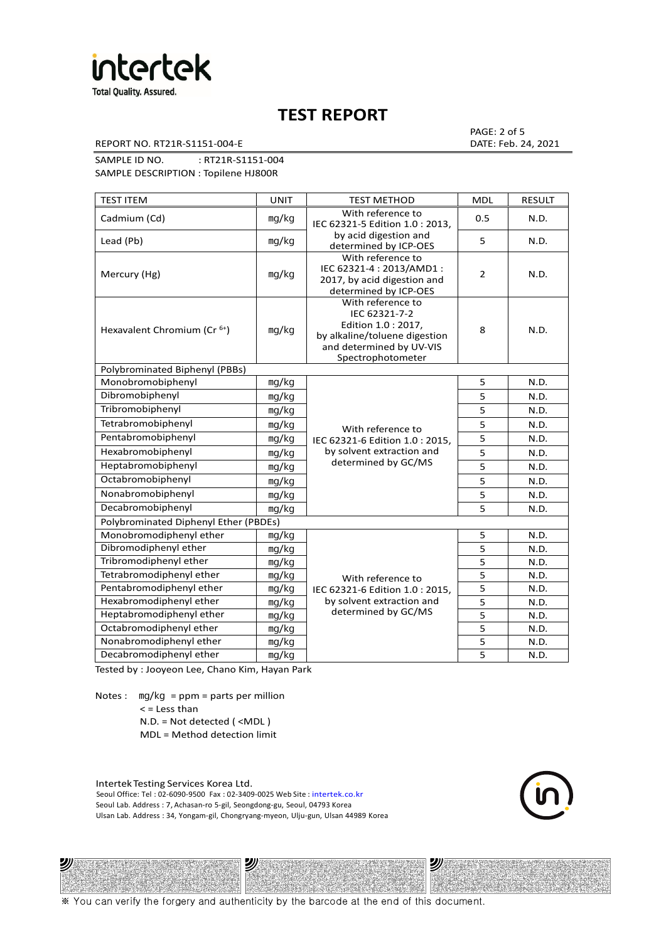

REPORT NO. RT21R-S1151-004-E DATE: Feb. 24, 2021

PAGE: 2 of 5

0.5 N.D.

2 N.D.

SAMPLE ID NO. : RT21R-S1151-004 SAMPLE DESCRIPTION : Topilene HJ800R

TEST ITEM TEST IN TEST METHOD | MDL | RESULT Cadmium (Cd) mg/kg With reference to IEC 62321-5 Edition 1.0 : 2013, by acid digestion and determined by ICP-OES Lead (Pb)  $\log/kg$   $\log kg$  acid digestion and  $\log k$  s  $\log \log k$  5  $\log \log k$  N.D. Mercury (Hg) ㎎/㎏ With reference to IEC 62321-4 : 2013/AMD1 : 2017, by acid digestion and determined by ICP-OES

| Hexavalent Chromium (Cr <sup>6+</sup> ) | mg/kg | With reference to<br>IEC 62321-7-2<br>Edition 1.0 : 2017,<br>by alkaline/toluene digestion<br>and determined by UV-VIS<br>Spectrophotometer | 8 | N.D. |
|-----------------------------------------|-------|---------------------------------------------------------------------------------------------------------------------------------------------|---|------|
| Polybrominated Biphenyl (PBBs)          |       |                                                                                                                                             |   |      |
| Monobromobiphenyl                       | mg/kg |                                                                                                                                             | 5 | N.D. |
| Dibromobiphenyl                         | mg/kg |                                                                                                                                             | 5 | N.D. |
| Tribromobiphenyl                        | mg/kg |                                                                                                                                             | 5 | N.D. |
| Tetrabromobiphenyl                      | mg/kg | With reference to                                                                                                                           | 5 | N.D. |
| Pentabromobiphenyl                      | mg/kg | IEC 62321-6 Edition 1.0 : 2015,                                                                                                             | 5 | N.D. |
| Hexabromobiphenyl                       | mg/kg | by solvent extraction and<br>determined by GC/MS                                                                                            | 5 | N.D. |
| Heptabromobiphenyl                      | mg/kg |                                                                                                                                             | 5 | N.D. |
| Octabromobiphenyl                       | mg/kg |                                                                                                                                             | 5 | N.D. |
| Nonabromobiphenyl                       | mg/kg |                                                                                                                                             | 5 | N.D. |
| Decabromobiphenyl                       | mg/kg |                                                                                                                                             | 5 | N.D. |
| Polybrominated Diphenyl Ether (PBDEs)   |       |                                                                                                                                             |   |      |
| Monobromodiphenyl ether                 | mg/kg |                                                                                                                                             | 5 | N.D. |
| Dibromodiphenyl ether                   | mg/kg |                                                                                                                                             | 5 | N.D. |
| Tribromodiphenyl ether                  | mg/kg |                                                                                                                                             | 5 | N.D. |
| Tetrabromodiphenyl ether                | mq/kg | With reference to                                                                                                                           | 5 | N.D. |
| Pentabromodiphenyl ether                | mg/kg | IEC 62321-6 Edition 1.0: 2015,                                                                                                              | 5 | N.D. |
| Hexabromodiphenyl ether                 | mg/kg | by solvent extraction and                                                                                                                   | 5 | N.D. |
| Heptabromodiphenyl ether                | mq/kg | determined by GC/MS                                                                                                                         | 5 | N.D. |
| Octabromodiphenyl ether                 | mg/kg |                                                                                                                                             | 5 | N.D. |
| Nonabromodiphenyl ether                 | mg/kg |                                                                                                                                             | 5 | N.D. |
| Decabromodiphenyl ether                 | mq/kg |                                                                                                                                             | 5 | N.D. |

Tested by : Jooyeon Lee, Chano Kim, Hayan Park

Notes : mg/kg = ppm = parts per million  $<$  = Less than N.D. = Not detected ( <MDL )

ツル

MDL = Method detection limit

Intertek Testing Services Korea Ltd. Seoul Office: Tel : 02-6090-9500 Fax : 02-3409-0025 Web Site : intertek.co.kr Seoul Lab. Address : 7, Achasan-ro 5-gil, Seongdong-gu, Seoul, 04793 Korea Ulsan Lab. Address : 34, Yongam-gil, Chongryang-myeon, Ulju-gun, Ulsan 44989 Korea

沙

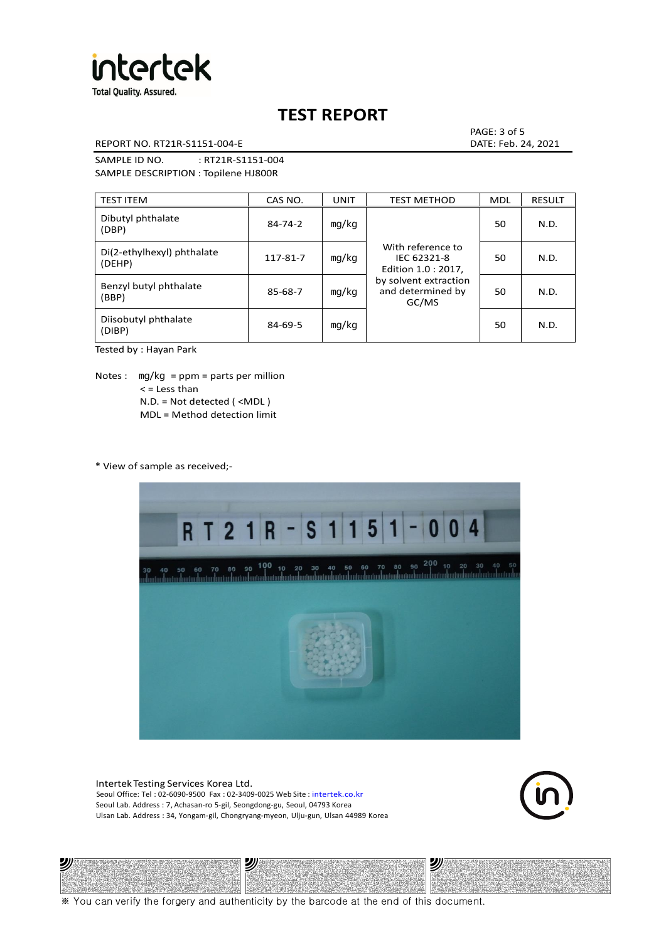

REPORT NO. RT21R-S1151-004-E DATE: Feb. 24, 2021

PAGE: 3 of 5

SAMPLE ID NO. : RT21R-S1151-004 SAMPLE DESCRIPTION : Topilene HJ800R

| <b>TEST ITEM</b>                     | CAS NO.       | <b>UNIT</b> | <b>TEST METHOD</b>                                      | <b>MDL</b> | <b>RESULT</b> |
|--------------------------------------|---------------|-------------|---------------------------------------------------------|------------|---------------|
| Dibutyl phthalate<br>(DBP)           | $84 - 74 - 2$ | mq/kg       | With reference to<br>IEC 62321-8<br>Edition 1.0 : 2017, | 50         | N.D.          |
| Di(2-ethylhexyl) phthalate<br>(DEHP) | 117-81-7      | mg/kg       |                                                         | 50         | N.D.          |
| Benzyl butyl phthalate<br>(BBP)      | 85-68-7       | mg/kg       | by solvent extraction<br>and determined by<br>GC/MS     | 50         | N.D.          |
| Diisobutyl phthalate<br>(DIBP)       | $84 - 69 - 5$ | mq/kg       |                                                         | 50         | N.D.          |

Tested by : Hayan Park

Notes :  $mq/kg = ppm = parts per million$  $<$  = Less than N.D. = Not detected ( <MDL ) MDL = Method detection limit

\* View of sample as received;-

ונש



Intertek Testing Services Korea Ltd. Seoul Office: Tel : 02-6090-9500 Fax : 02-3409-0025 Web Site : intertek.co.kr Seoul Lab. Address : 7, Achasan-ro 5-gil, Seongdong-gu, Seoul, 04793 Korea Ulsan Lab. Address : 34, Yongam-gil, Chongryang-myeon, Ulju-gun, Ulsan 44989 Korea

沙



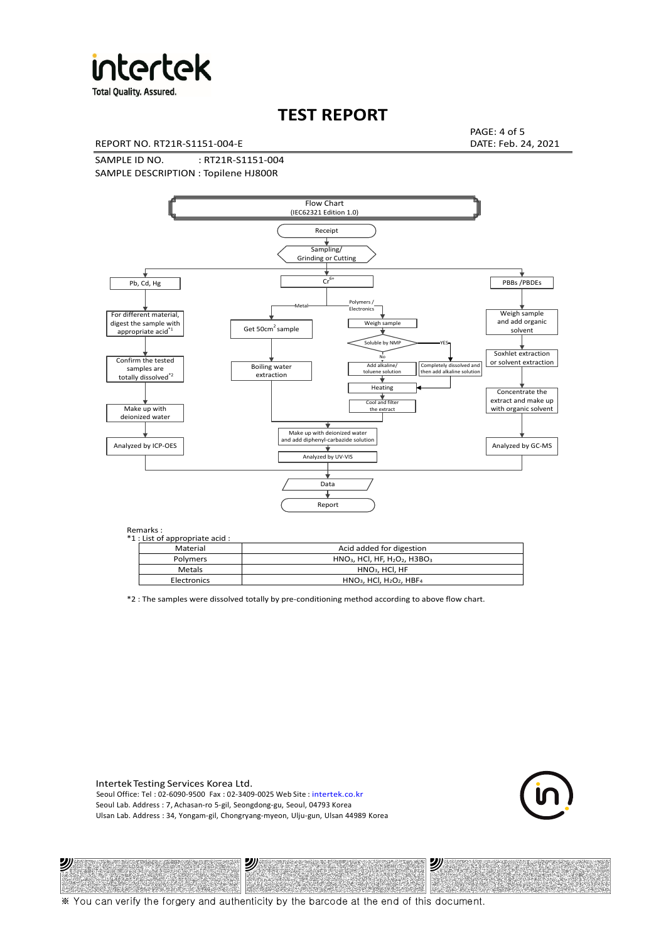

**Total Quality. Assured.** 

# **TEST REPORT**

REPORT NO. RT21R-S1151-004-E DATE: Feb. 24, 2021

PAGE: 4 of 5

SAMPLE ID NO. : RT21R-S1151-004 SAMPLE DESCRIPTION : Topilene HJ800R



Remarks :

沙

| . د ۱۱۱ تا ۱۰<br>1 : List of appropriate acid : |                                                                     |
|-------------------------------------------------|---------------------------------------------------------------------|
| Material                                        | Acid added for digestion                                            |
| Polymers                                        | $HNO3$ , HCl, HF, H <sub>2</sub> O <sub>2</sub> , H3BO <sub>3</sub> |
| Metals                                          | $HNO3$ , HCl, HF                                                    |
| Electronics                                     | $HNO3$ , HCl, H <sub>2</sub> O <sub>2</sub> , HBF <sub>4</sub>      |
|                                                 |                                                                     |

\*2 : The samples were dissolved totally by pre-conditioning method according to above flow chart.

Intertek Testing Services Korea Ltd. Seoul Office: Tel : 02-6090-9500 Fax : 02-3409-0025 Web Site : intertek.co.kr Seoul Lab. Address : 7, Achasan-ro 5-gil, Seongdong-gu, Seoul, 04793 Korea Ulsan Lab. Address : 34, Yongam-gil, Chongryang-myeon, Ulju-gun, Ulsan 44989 Korea

沙